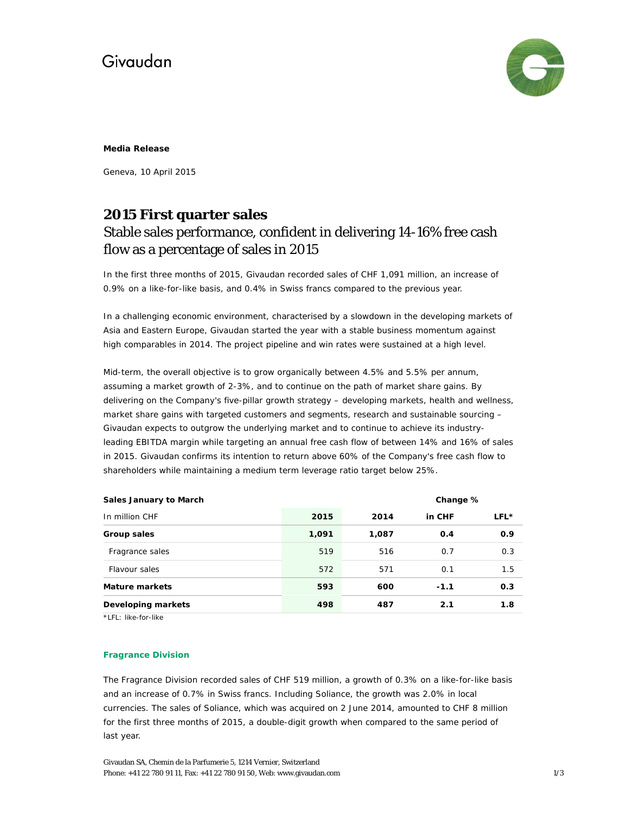# Givaudan



#### **Media Release**

Geneva, 10 April 2015

### **2015 First quarter sales**  Stable sales performance, confident in delivering 14-16% free cash flow as a percentage of sales in 2015

In the first three months of 2015, Givaudan recorded sales of CHF 1,091 million, an increase of 0.9% on a like-for-like basis, and 0.4% in Swiss francs compared to the previous year.

In a challenging economic environment, characterised by a slowdown in the developing markets of Asia and Eastern Europe, Givaudan started the year with a stable business momentum against high comparables in 2014. The project pipeline and win rates were sustained at a high level.

Mid-term, the overall objective is to grow organically between 4.5% and 5.5% per annum, assuming a market growth of 2-3%, and to continue on the path of market share gains. By delivering on the Company's five-pillar growth strategy – developing markets, health and wellness, market share gains with targeted customers and segments, research and sustainable sourcing – Givaudan expects to outgrow the underlying market and to continue to achieve its industryleading EBITDA margin while targeting an annual free cash flow of between 14% and 16% of sales in 2015. Givaudan confirms its intention to return above 60% of the Company's free cash flow to shareholders while maintaining a medium term leverage ratio target below 25%.

| Sales January to March |       | Change % |        |      |
|------------------------|-------|----------|--------|------|
| In million CHF         | 2015  | 2014     | in CHF | LFL* |
| Group sales            | 1,091 | 1,087    | 0.4    | 0.9  |
| Fragrance sales        | 519   | 516      | 0.7    | 0.3  |
| Flavour sales          | 572   | 571      | 0.1    | 1.5  |
| <b>Mature markets</b>  | 593   | 600      | $-1.1$ | 0.3  |
| Developing markets     | 498   | 487      | 2.1    | 1.8  |

\*LFL: like-for-like

### **Fragrance Division**

The Fragrance Division recorded sales of CHF 519 million, a growth of 0.3% on a like-for-like basis and an increase of 0.7% in Swiss francs. Including Soliance, the growth was 2.0% in local currencies. The sales of Soliance, which was acquired on 2 June 2014, amounted to CHF 8 million for the first three months of 2015, a double-digit growth when compared to the same period of last year.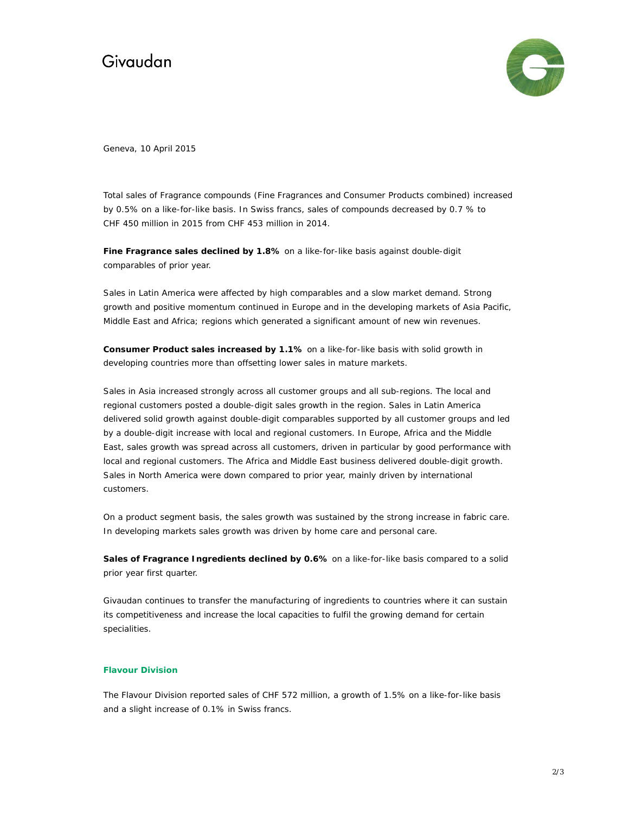# Givaudan



Geneva, 10 April 2015

Total sales of Fragrance compounds (Fine Fragrances and Consumer Products combined) increased by 0.5% on a like-for-like basis. In Swiss francs, sales of compounds decreased by 0.7 % to CHF 450 million in 2015 from CHF 453 million in 2014.

**Fine Fragrance sales declined by 1.8%** on a like-for-like basis against double-digit comparables of prior year.

Sales in Latin America were affected by high comparables and a slow market demand. Strong growth and positive momentum continued in Europe and in the developing markets of Asia Pacific, Middle East and Africa; regions which generated a significant amount of new win revenues.

**Consumer Product sales increased by 1.1%** on a like-for-like basis with solid growth in developing countries more than offsetting lower sales in mature markets.

Sales in Asia increased strongly across all customer groups and all sub-regions. The local and regional customers posted a double-digit sales growth in the region. Sales in Latin America delivered solid growth against double-digit comparables supported by all customer groups and led by a double-digit increase with local and regional customers. In Europe, Africa and the Middle East, sales growth was spread across all customers, driven in particular by good performance with local and regional customers. The Africa and Middle East business delivered double-digit growth. Sales in North America were down compared to prior year, mainly driven by international customers.

On a product segment basis, the sales growth was sustained by the strong increase in fabric care. In developing markets sales growth was driven by home care and personal care.

**Sales of Fragrance Ingredients declined by 0.6%** on a like-for-like basis compared to a solid prior year first quarter.

Givaudan continues to transfer the manufacturing of ingredients to countries where it can sustain its competitiveness and increase the local capacities to fulfil the growing demand for certain specialities.

### **Flavour Division**

The Flavour Division reported sales of CHF 572 million, a growth of 1.5% on a like-for-like basis and a slight increase of 0.1% in Swiss francs.